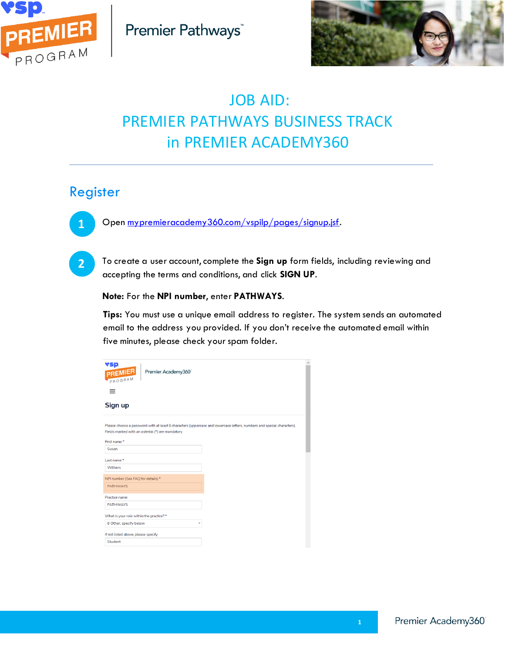



# JOB AID: PREMIER PATHWAYS BUSINESS TRACK in PREMIER ACADEMY360

### Register



**2**

Open [mypremieracademy360.com/vspilp/pages/signup.jsf.](https://www.mypremieracademy360.com/vspilp/pages/signup.jsf)

To create a user account, complete the **Sign up** form fields, including reviewing and accepting the terms and conditions, and click **SIGN UP**.

#### **Note:** For the **NPI number**, enter **PATHWAYS**.

**Tips:** You must use a unique email address to register. The system sends an automated email to the address you provided. If you don't receive the automated email within five minutes, please check your spam folder.

| <b>vsp</b><br>Premier Academy360<br><b>PREMIER</b><br>PROGRAM                                                                                                                              |  |
|--------------------------------------------------------------------------------------------------------------------------------------------------------------------------------------------|--|
| =                                                                                                                                                                                          |  |
| Sign up                                                                                                                                                                                    |  |
| Please choose a password with at least 8 characters (uppercase and lowercase letters, numbers and special characters).<br>Fields marked with an asterisk (*) are mandatory.<br>First name* |  |
| Susan                                                                                                                                                                                      |  |
| Last name*                                                                                                                                                                                 |  |
| Withers                                                                                                                                                                                    |  |
| NPI number (See FAQ for details) *                                                                                                                                                         |  |
| <b>PATHWAYS</b>                                                                                                                                                                            |  |
| Practice name                                                                                                                                                                              |  |
| <b>PATHWAYS</b>                                                                                                                                                                            |  |
| What is your role within the practice?*                                                                                                                                                    |  |
| 8 Other, specify below<br>$\overline{\mathbf v}$                                                                                                                                           |  |
| If not listed above, please specify                                                                                                                                                        |  |
| <b>Student</b>                                                                                                                                                                             |  |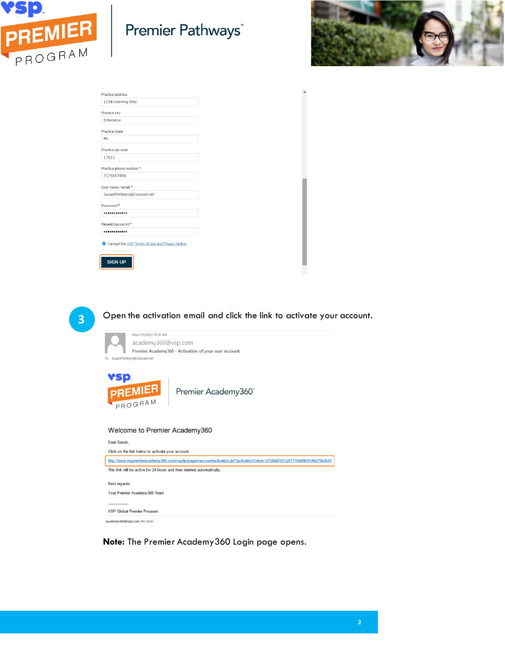

# Premier Pathways<sup>®</sup>



| 1234 Learning Way                                 |  |
|---------------------------------------------------|--|
|                                                   |  |
| Practice city                                     |  |
| Enterprise                                        |  |
| Practice state                                    |  |
|                                                   |  |
| PA                                                |  |
| Practice zip code                                 |  |
| 17011                                             |  |
|                                                   |  |
| Practice phone number *                           |  |
| 7175557890                                        |  |
|                                                   |  |
| User name / email *                               |  |
| SusanRWithers@Comcast.net                         |  |
| Password <sup>*</sup>                             |  |
|                                                   |  |
|                                                   |  |
| Repeat password *                                 |  |
|                                                   |  |
|                                                   |  |
| I accept the VSP Terms of Use and Privacy Notice. |  |
|                                                   |  |
|                                                   |  |
| <b>SIGN UP</b>                                    |  |
|                                                   |  |

**3**

Open the activation email and click the link to activate your account.

| Mon 5/9/2022 10:30 AM<br>academy360@vsp.com<br>Premier Academy360 - Activation of your user account<br>SusanRWithers@Comcast.net |                                                                                                                        |  |  |  |
|----------------------------------------------------------------------------------------------------------------------------------|------------------------------------------------------------------------------------------------------------------------|--|--|--|
|                                                                                                                                  | <b>PREMIER</b><br>Premier Academy360°                                                                                  |  |  |  |
| Welcome to Premier Academy360<br>Dear Susan.<br>Click on the link below to activate your account.                                |                                                                                                                        |  |  |  |
|                                                                                                                                  |                                                                                                                        |  |  |  |
|                                                                                                                                  | http://www.mypremieracademy360.com/vspilp/pages/accountactivation.jsf?activationToken=2728a87d7c257116e08b61d6e75b2b67 |  |  |  |
|                                                                                                                                  | This link will be active for 24 hours and then deleted automatically.                                                  |  |  |  |
| Best regards,                                                                                                                    | Your Premier Academy360 Team                                                                                           |  |  |  |

**Note:** The Premier Academy360 Login page opens.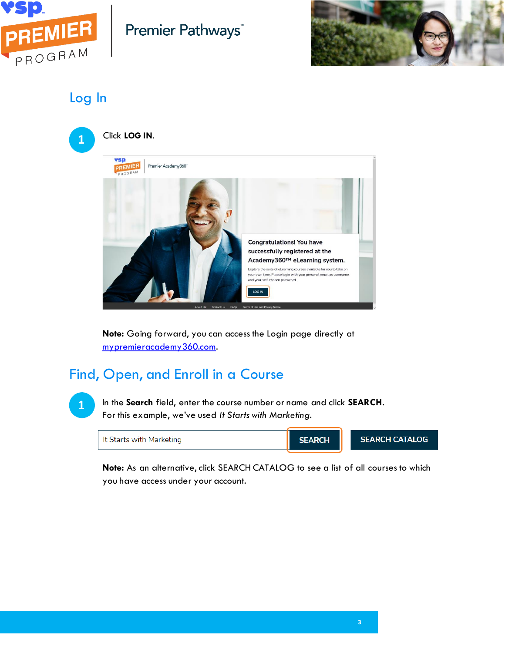

# Premier Pathways<sup>®</sup>



Log In

**1**



**Note:** Going forward, you can access the Login page directly at [mypremieracademy360.com.](https://www.mypremieracademy360.com/)

# Find, Open, and Enroll in a Course

In the **Search** field, enter the course number or name and click **SEARCH**. For this example, we've used *It Starts with Marketing*.

It Starts with Marketing

**SEARCH** 

**SEARCH CATALOG** 

**Note:** As an alternative, click SEARCH CATALOG to see a list of all courses to which you have access under your account.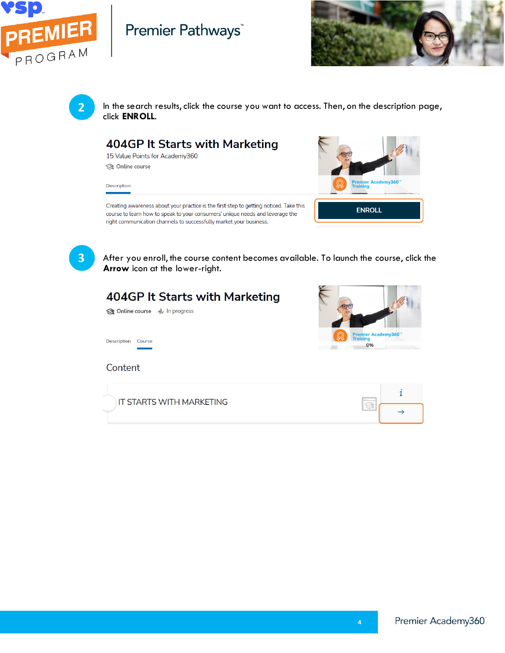

## Premier Pathways





In the search results, click the course you want to access. Then, on the description page, click **ENROLL**.

#### 404GP It Starts with Marketing

15 Value Points for Academy360 **S** Online course

Description



Creating awareness about your practice is the first step to getting noticed. Take this course to learn how to speak to your consumers' unique needs and leverage the right communication channels to successfully market your business.

**3**

After you enroll, the course content becomes available. To launch the course, click the **Arrow** icon at the lower-right.